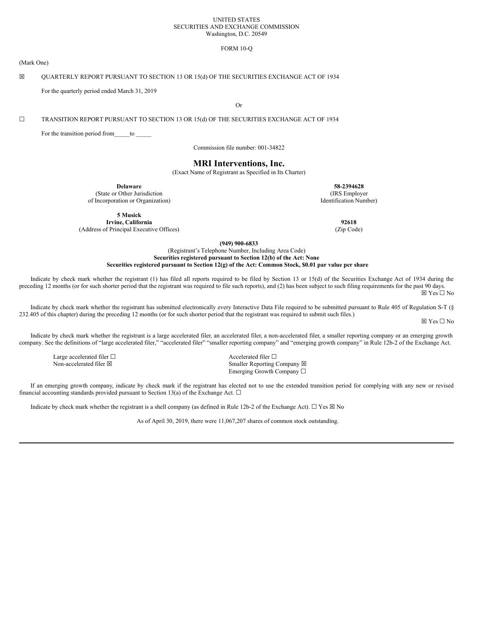### UNITED STATES SECURITIES AND EXCHANGE COMMISSION Washington, D.C. 20549

### FORM 10-Q

(Mark One)

# ☒ QUARTERLY REPORT PURSUANT TO SECTION 13 OR 15(d) OF THE SECURITIES EXCHANGE ACT OF 1934

For the quarterly period ended March 31, 2019

Or

☐ TRANSITION REPORT PURSUANT TO SECTION 13 OR 15(d) OF THE SECURITIES EXCHANGE ACT OF 1934

For the transition period from \_\_\_\_\_to \_

Commission file number: 001-34822

# **MRI Interventions, Inc.**

(Exact Name of Registrant as Specified in Its Charter)

**Delaware 58-2394628** (State or Other Jurisdiction (IRS Employer

**5 Musick**

**Irvine, California 92618** (Address of Principal Executive Offices) (Zip Code)

of Incorporation or Organization) Identification Number)

**(949) 900-6833**

(Registrant's Telephone Number, Including Area Code) **Securities registered pursuant to Section 12(b) of the Act: None Securities registered pursuant to Section 12(g) of the Act: Common Stock, \$0.01 par value per share**

Indicate by check mark whether the registrant (1) has filed all reports required to be filed by Section 13 or 15(d) of the Securities Exchange Act of 1934 during the preceding 12 months (or for such shorter period that the registrant was required to file such reports), and (2) has been subject to such filing requirements for the past 90 days. ☒ Yes ☐ No

Indicate by check mark whether the registrant has submitted electronically every Interactive Data File required to be submitted pursuant to Rule 405 of Regulation S-T (§ 232.405 of this chapter) during the preceding 12 months (or for such shorter period that the registrant was required to submit such files.)

 $\nabla$  Yes  $\nabla$  No

Indicate by check mark whether the registrant is a large accelerated filer, an accelerated filer, a non-accelerated filer, a smaller reporting company or an emerging growth company. See the definitions of "large accelerated filer," "accelerated filer" "smaller reporting company" and "emerging growth company" in Rule 12b-2 of the Exchange Act.

Large accelerated filer  $\Box$  <br>  $\Box$ 

Non-accelerated filer ⊠ Smaller Reporting Company ⊠ Emerging Growth Company ☐

If an emerging growth company, indicate by check mark if the registrant has elected not to use the extended transition period for complying with any new or revised financial accounting standards provided pursuant to Section 13(a) of the Exchange Act.  $\Box$ 

Indicate by check mark whether the registrant is a shell company (as defined in Rule 12b-2 of the Exchange Act).  $\Box$  Yes  $\boxtimes$  No

As of April 30, 2019, there were 11,067,207 shares of common stock outstanding.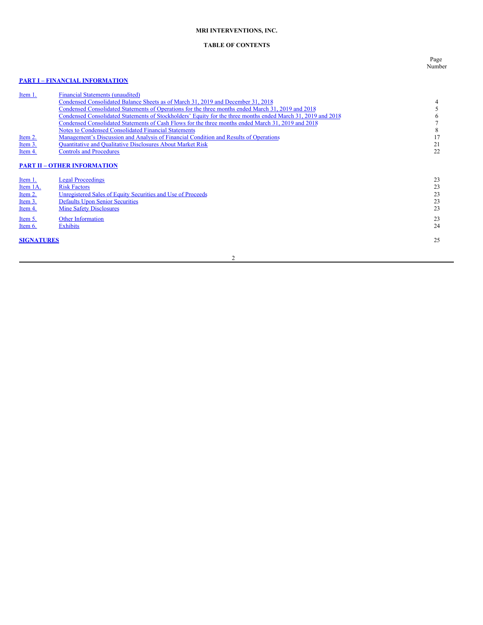# **MRI INTERVENTIONS, INC.**

# **TABLE OF CONTENTS**

Page Number

# **PART I – FINANCIAL [INFORMATION](#page-3-0)**

| Item 1.<br>Item 2.<br>Item 3.<br>Item 4.                                                          | Financial Statements (unaudited)<br>Condensed Consolidated Balance Sheets as of March 31, 2019 and December 31, 2018<br>Condensed Consolidated Statements of Operations for the three months ended March 31, 2019 and 2018<br>Condensed Consolidated Statements of Stockholders' Equity for the three months ended March 31, 2019 and 2018<br>Condensed Consolidated Statements of Cash Flows for the three months ended March 31, 2019 and 2018<br><b>Notes to Condensed Consolidated Financial Statements</b><br>Management's Discussion and Analysis of Financial Condition and Results of Operations<br><b>Quantitative and Qualitative Disclosures About Market Risk</b><br><b>Controls and Procedures</b><br><b>PART II - OTHER INFORMATION</b> | 4<br>6<br>8<br>17<br>21<br>22                |
|---------------------------------------------------------------------------------------------------|-------------------------------------------------------------------------------------------------------------------------------------------------------------------------------------------------------------------------------------------------------------------------------------------------------------------------------------------------------------------------------------------------------------------------------------------------------------------------------------------------------------------------------------------------------------------------------------------------------------------------------------------------------------------------------------------------------------------------------------------------------|----------------------------------------------|
| Item 1.<br>Item 1A.<br>Item $2.$<br>Item 3.<br>Item 4.<br>Item 5.<br>Item 6.<br><b>SIGNATURES</b> | <b>Legal Proceedings</b><br><b>Risk Factors</b><br>Unregistered Sales of Equity Securities and Use of Proceeds<br><b>Defaults Upon Senior Securities</b><br><b>Mine Safety Disclosures</b><br><b>Other Information</b><br><b>Exhibits</b>                                                                                                                                                                                                                                                                                                                                                                                                                                                                                                             | 23<br>23<br>23<br>23<br>23<br>23<br>24<br>25 |

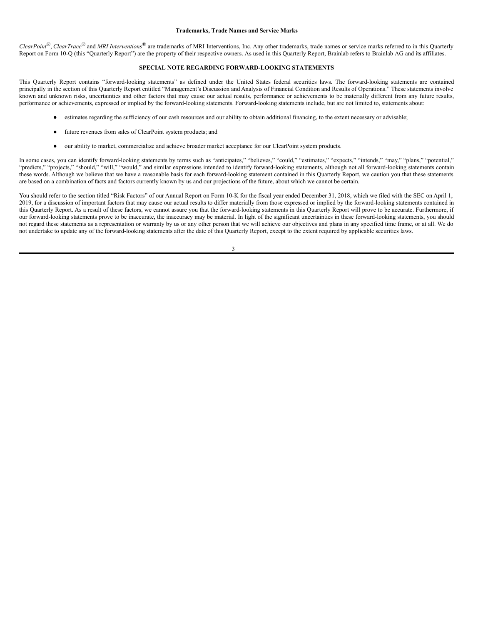### **Trademarks, Trade Names and Service Marks**

*ClearPoint*®, *ClearTrace*® and *MRI Interventions*® are trademarks of MRI Interventions, Inc. Any other trademarks, trade names or service marks referred to in this Quarterly Report on Form 10-Q (this "Quarterly Report") are the property of their respective owners. As used in this Quarterly Report, Brainlab refers to Brainlab AG and its affiliates.

# **SPECIAL NOTE REGARDING FORWARD-LOOKING STATEMENTS**

This Quarterly Report contains "forward-looking statements" as defined under the United States federal securities laws. The forward-looking statements are contained principally in the section of this Quarterly Report entitled "Management's Discussion and Analysis of Financial Condition and Results of Operations." These statements involve known and unknown risks, uncertainties and other factors that may cause our actual results, performance or achievements to be materially different from any future results, performance or achievements, expressed or implied by the forward-looking statements. Forward-looking statements include, but are not limited to, statements about:

- estimates regarding the sufficiency of our cash resources and our ability to obtain additional financing, to the extent necessary or advisable;
- future revenues from sales of ClearPoint system products; and
- our ability to market, commercialize and achieve broader market acceptance for our ClearPoint system products.

In some cases, you can identify forward-looking statements by terms such as "anticipates," "believes," "could," "estimates," "expects," "intends," "may," "plans," "potential," "predicts," "projects," "should," "will," "would," and similar expressions intended to identify forward-looking statements, although not all forward-looking statements contain these words. Although we believe that we have a reasonable basis for each forward-looking statement contained in this Quarterly Report, we caution you that these statements are based on a combination of facts and factors currently known by us and our projections of the future, about which we cannot be certain.

You should refer to the section titled "Risk Factors" of our Annual Report on Form 10-K for the fiscal year ended December 31, 2018, which we filed with the SEC on April 1, 2019, for a discussion of important factors that may cause our actual results to differ materially from those expressed or implied by the forward-looking statements contained in this Quarterly Report. As a result of these factors, we cannot assure you that the forward-looking statements in this Quarterly Report will prove to be accurate. Furthermore, if our forward-looking statements prove to be inaccurate, the inaccuracy may be material. In light of the significant uncertainties in these forward-looking statements, you should not regard these statements as a representation or warranty by us or any other person that we will achieve our objectives and plans in any specified time frame, or at all. We do not undertake to update any of the forward-looking statements after the date of this Quarterly Report, except to the extent required by applicable securities laws.

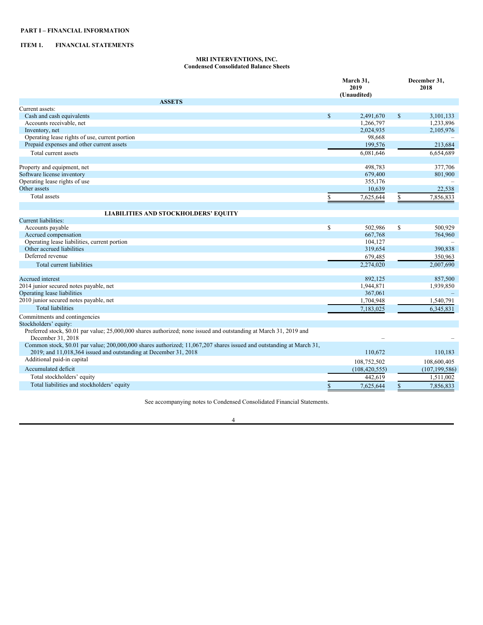# <span id="page-3-1"></span><span id="page-3-0"></span>**ITEM 1. FINANCIAL STATEMENTS**

### <span id="page-3-2"></span>**MRI INTERVENTIONS, INC. Condensed Consolidated Balance Sheets**

|                                                                                                                                                                                          |              | March 31,<br>2019<br>(Unaudited) |              | December 31,<br>2018 |
|------------------------------------------------------------------------------------------------------------------------------------------------------------------------------------------|--------------|----------------------------------|--------------|----------------------|
| <b>ASSETS</b>                                                                                                                                                                            |              |                                  |              |                      |
| Current assets:                                                                                                                                                                          |              |                                  |              |                      |
| Cash and cash equivalents                                                                                                                                                                | $\mathbb{S}$ | 2,491,670                        | $\mathbb{S}$ | 3,101,133            |
| Accounts receivable, net                                                                                                                                                                 |              | 1,266,797                        |              | 1,233,896            |
| Inventory, net                                                                                                                                                                           |              | 2,024,935                        |              | 2,105,976            |
| Operating lease rights of use, current portion                                                                                                                                           |              | 98,668                           |              |                      |
| Prepaid expenses and other current assets                                                                                                                                                |              | 199,576                          |              | 213,684              |
| Total current assets                                                                                                                                                                     |              | 6,081,646                        |              | 6,654,689            |
| Property and equipment, net                                                                                                                                                              |              | 498,783                          |              | 377,706              |
| Software license inventory                                                                                                                                                               |              | 679,400                          |              | 801,900              |
| Operating lease rights of use                                                                                                                                                            |              | 355,176                          |              |                      |
| Other assets                                                                                                                                                                             |              | 10,639                           |              | 22,538               |
| Total assets                                                                                                                                                                             | \$           | 7,625,644                        | S            | 7,856,833            |
| <b>LIABILITIES AND STOCKHOLDERS' EQUITY</b>                                                                                                                                              |              |                                  |              |                      |
| Current liabilities:                                                                                                                                                                     |              |                                  |              |                      |
| Accounts payable                                                                                                                                                                         | $\mathbb{S}$ | 502,986                          | \$           | 500,929              |
| Accrued compensation                                                                                                                                                                     |              | 667,768                          |              | 764,960              |
| Operating lease liabilities, current portion                                                                                                                                             |              | 104,127                          |              |                      |
| Other accrued liabilities                                                                                                                                                                |              | 319,654                          |              | 390,838              |
| Deferred revenue                                                                                                                                                                         |              | 679,485                          |              | 350,963              |
| Total current liabilities                                                                                                                                                                |              | 2.274.020                        |              | 2.007.690            |
| Accrued interest                                                                                                                                                                         |              | 892,125                          |              | 857,500              |
| 2014 junior secured notes payable, net                                                                                                                                                   |              | 1,944,871                        |              | 1,939,850            |
| Operating lease liabilities                                                                                                                                                              |              | 367,061                          |              |                      |
| 2010 junior secured notes payable, net                                                                                                                                                   |              | 1,704,948                        |              | 1,540,791            |
| <b>Total liabilities</b>                                                                                                                                                                 |              | 7,183,025                        |              | 6,345,831            |
| Commitments and contingencies                                                                                                                                                            |              |                                  |              |                      |
| Stockholders' equity:                                                                                                                                                                    |              |                                  |              |                      |
| Preferred stock, \$0.01 par value; 25,000,000 shares authorized; none issued and outstanding at March 31, 2019 and<br>December 31, 2018                                                  |              |                                  |              |                      |
| Common stock, \$0.01 par value; 200,000,000 shares authorized; 11,067,207 shares issued and outstanding at March 31,<br>2019; and 11,018,364 issued and outstanding at December 31, 2018 |              | 110,672                          |              | 110,183              |
| Additional paid-in capital                                                                                                                                                               |              | 108,752,502                      |              | 108,600,405          |
| Accumulated deficit                                                                                                                                                                      |              | (108, 420, 555)                  |              | (107, 199, 586)      |
| Total stockholders' equity                                                                                                                                                               |              | 442,619                          |              | 1,511,002            |
| Total liabilities and stockholders' equity                                                                                                                                               | \$           | 7,625,644                        | \$           | 7.856.833            |
|                                                                                                                                                                                          |              |                                  |              |                      |

See accompanying notes to Condensed Consolidated Financial Statements.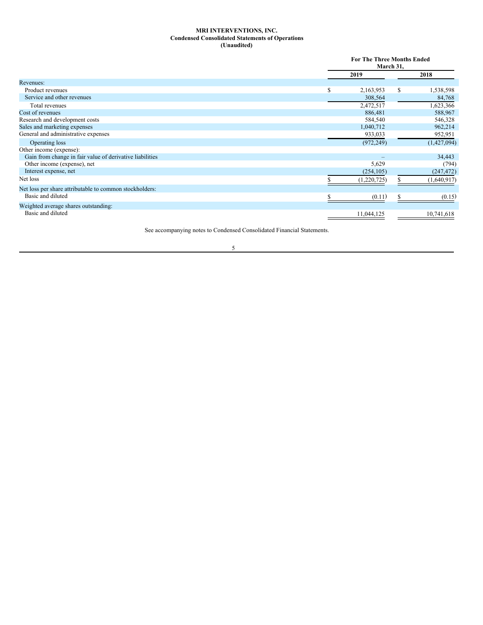### <span id="page-4-0"></span>**MRI INTERVENTIONS, INC. Condensed Consolidated Statements of Operations (Unaudited)**

|                                                          |   | <b>For The Three Months Ended</b><br>March 31, |    |             |  |
|----------------------------------------------------------|---|------------------------------------------------|----|-------------|--|
|                                                          |   | 2019                                           |    | 2018        |  |
| Revenues:                                                |   |                                                |    |             |  |
| Product revenues                                         | S | 2,163,953                                      | S. | 1,538,598   |  |
| Service and other revenues                               |   | 308,564                                        |    | 84,768      |  |
| Total revenues                                           |   | 2,472,517                                      |    | 1,623,366   |  |
| Cost of revenues                                         |   | 886,481                                        |    | 588,967     |  |
| Research and development costs                           |   | 584,540                                        |    | 546,328     |  |
| Sales and marketing expenses                             |   | 1,040,712                                      |    | 962,214     |  |
| General and administrative expenses                      |   | 933,033                                        |    | 952,951     |  |
| Operating loss                                           |   | (972, 249)                                     |    | (1,427,094) |  |
| Other income (expense):                                  |   |                                                |    |             |  |
| Gain from change in fair value of derivative liabilities |   |                                                |    | 34,443      |  |
| Other income (expense), net                              |   | 5,629                                          |    | (794)       |  |
| Interest expense, net                                    |   | (254, 105)                                     |    | (247, 472)  |  |
| Net loss                                                 |   | (1,220,725)                                    |    | (1,640,917) |  |
| Net loss per share attributable to common stockholders:  |   |                                                |    |             |  |
| Basic and diluted                                        |   | (0.11)                                         |    | (0.15)      |  |
| Weighted average shares outstanding:                     |   |                                                |    |             |  |
| Basic and diluted                                        |   | 11,044,125                                     |    | 10,741,618  |  |

See accompanying notes to Condensed Consolidated Financial Statements.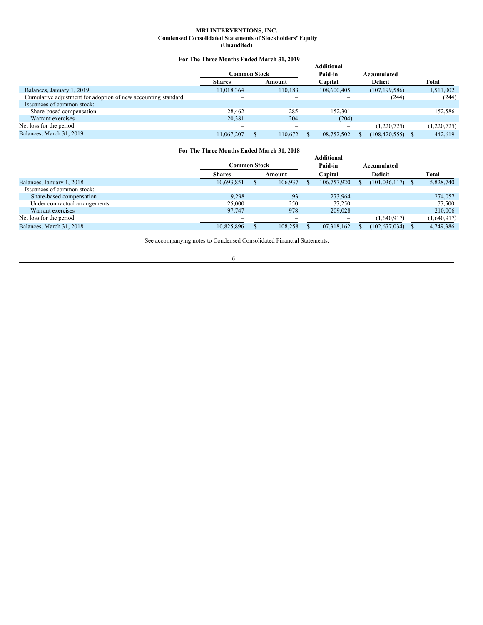### <span id="page-5-0"></span>**MRI INTERVENTIONS, INC. Condensed Consolidated Statements of Stockholders' Equity (Unaudited)**

# **For The Three Months Ended March 31, 2019**

| <b>Additional</b>       |                              |             |  |  |  |
|-------------------------|------------------------------|-------------|--|--|--|
| Common Stock<br>Paid-in |                              |             |  |  |  |
| Capital                 | Deficit                      | Total       |  |  |  |
| 108,600,405             | (107, 199, 586)              | 1,511,002   |  |  |  |
|                         | (244)                        | (244)       |  |  |  |
|                         |                              |             |  |  |  |
| 285<br>152.301          |                              | 152.586     |  |  |  |
| 204<br>(204)            |                              |             |  |  |  |
|                         | (1,220,725)                  | (1,220,725) |  |  |  |
| 108,752,502             | (108, 420, 555)              | 442,619     |  |  |  |
|                         | Amount<br>110.183<br>110,672 | Accumulated |  |  |  |

**For The Three Months Ended March 31, 2018**

| For The Three Months Ended March 31, 2018 |  |         |  |             |  |                 |             |             |
|-------------------------------------------|--|---------|--|-------------|--|-----------------|-------------|-------------|
|                                           |  |         |  | Additional  |  |                 |             |             |
| Common Stock                              |  |         |  | Paid-in     |  |                 |             |             |
| <b>Shares</b>                             |  | Amount  |  | Capital     |  | Deficit         |             | Total       |
| 10,693,851                                |  | 106,937 |  | 106,757,920 |  | (101, 036, 117) |             | 5,828,740   |
|                                           |  |         |  |             |  |                 |             |             |
| 9.298                                     |  | 93      |  | 273,964     |  |                 |             | 274,057     |
| 25,000                                    |  | 250     |  | 77.250      |  |                 |             | 77,500      |
| 97,747                                    |  | 978     |  | 209,028     |  |                 |             | 210,006     |
|                                           |  |         |  |             |  | (1,640,917)     |             | (1,640,917) |
| 10.825.896                                |  | 108,258 |  | 107,318,162 |  | (102, 677, 034) |             | 4,749,386   |
|                                           |  |         |  |             |  |                 | Accumulated |             |

See accompanying notes to Condensed Consolidated Financial Statements.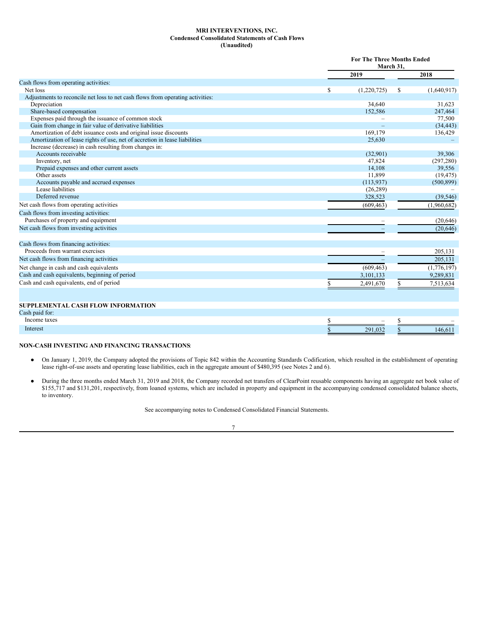# <span id="page-6-0"></span>**MRI INTERVENTIONS, INC. Condensed Consolidated Statements of Cash Flows (Unaudited)**

|                                                                                | <b>For The Three Months Ended</b><br>March 31. |             |  |
|--------------------------------------------------------------------------------|------------------------------------------------|-------------|--|
|                                                                                | 2019                                           | 2018        |  |
| Cash flows from operating activities:                                          |                                                |             |  |
| Net loss                                                                       | \$<br>(1,220,725)<br>S                         | (1,640,917) |  |
| Adjustments to reconcile net loss to net cash flows from operating activities: |                                                |             |  |
| Depreciation                                                                   | 34.640                                         | 31,623      |  |
| Share-based compensation                                                       | 152,586                                        | 247,464     |  |
| Expenses paid through the issuance of common stock                             |                                                | 77,500      |  |
| Gain from change in fair value of derivative liabilities                       |                                                | (34, 443)   |  |
| Amortization of debt issuance costs and original issue discounts               | 169,179                                        | 136,429     |  |
| Amortization of lease rights of use, net of accretion in lease liabilities     | 25,630                                         |             |  |
| Increase (decrease) in cash resulting from changes in:                         |                                                |             |  |
| Accounts receivable                                                            | (32,901)                                       | 39,306      |  |
| Inventory, net                                                                 | 47,824                                         | (297, 280)  |  |
| Prepaid expenses and other current assets                                      | 14.108                                         | 39,556      |  |
| Other assets                                                                   | 11,899                                         | (19, 475)   |  |
| Accounts payable and accrued expenses                                          | (113, 937)                                     | (500, 899)  |  |
| Lease liabilities                                                              | (26, 289)                                      |             |  |
| Deferred revenue                                                               | 328,523                                        | (39, 546)   |  |
| Net cash flows from operating activities                                       | (609, 463)                                     | (1,960,682) |  |
| Cash flows from investing activities:                                          |                                                |             |  |
| Purchases of property and equipment                                            |                                                | (20, 646)   |  |
| Net cash flows from investing activities                                       |                                                | (20, 646)   |  |
| Cash flows from financing activities:                                          |                                                |             |  |
| Proceeds from warrant exercises                                                |                                                | 205,131     |  |
| Net cash flows from financing activities                                       |                                                | 205,131     |  |
| Net change in cash and cash equivalents                                        | (609, 463)                                     | (1,776,197) |  |
| Cash and cash equivalents, beginning of period                                 | 3,101,133                                      | 9,289,831   |  |
| Cash and cash equivalents, end of period                                       | 2,491,670                                      | 7,513,634   |  |
|                                                                                |                                                |             |  |
| SUPPLEMENTAL CASH FLOW INFORMATION                                             |                                                |             |  |

| Cash paid for: |                          |              |
|----------------|--------------------------|--------------|
| :ome<br>≧ taxe | $\overline{\phantom{a}}$ | <b>STATE</b> |
| Interest       | 01.022<br>20.<br>291.032 | 71f<br>TV.V. |

## **NON-CASH INVESTING AND FINANCING TRANSACTIONS**:

- On January 1, 2019, the Company adopted the provisions of Topic 842 within the Accounting Standards Codification, which resulted in the establishment of operating lease right-of-use assets and operating lease liabilities, each in the aggregate amount of \$480,395 (see Notes 2 and 6).
- During the three months ended March 31, 2019 and 2018, the Company recorded net transfers of ClearPoint reusable components having an aggregate net book value of \$155,717 and \$131,201, respectively, from loaned systems, which are included in property and equipment in the accompanying condensed consolidated balance sheets, to inventory.

See accompanying notes to Condensed Consolidated Financial Statements.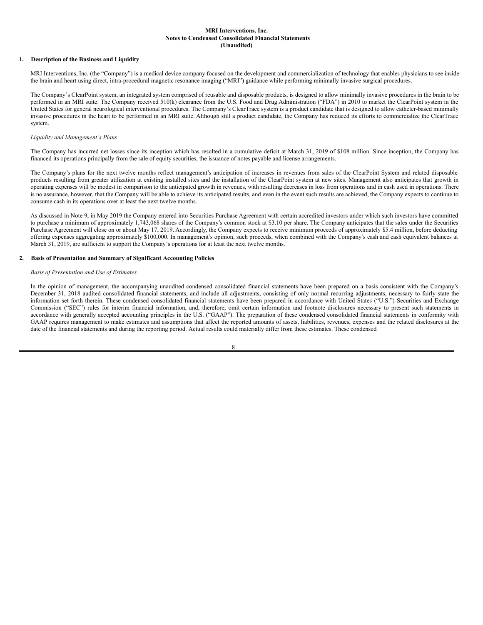# **1. Description of the Business and Liquidity**

<span id="page-7-0"></span>MRI Interventions, Inc. (the "Company") is a medical device company focused on the development and commercialization of technology that enables physicians to see inside the brain and heart using direct, intra-procedural magnetic resonance imaging ("MRI") guidance while performing minimally invasive surgical procedures.

The Company's ClearPoint system, an integrated system comprised of reusable and disposable products, is designed to allow minimally invasive procedures in the brain to be performed in an MRI suite. The Company received 510(k) clearance from the U.S. Food and Drug Administration ("FDA") in 2010 to market the ClearPoint system in the United States for general neurological interventional procedures. The Company's ClearTrace system is a product candidate that is designed to allow catheter-based minimally invasive procedures in the heart to be performed in an MRI suite. Although still a product candidate, the Company has reduced its efforts to commercialize the ClearTrace system.

# *Liquidity and Management's Plans*

The Company has incurred net losses since its inception which has resulted in a cumulative deficit at March 31, 2019 of \$108 million. Since inception, the Company has financed its operations principally from the sale of equity securities, the issuance of notes payable and license arrangements.

The Company's plans for the next twelve months reflect management's anticipation of increases in revenues from sales of the ClearPoint System and related disposable products resulting from greater utilization at existing installed sites and the installation of the ClearPoint system at new sites. Management also anticipates that growth in operating expenses will be modest in comparison to the anticipated growth in revenues, with resulting decreases in loss from operations and in cash used in operations. There is no assurance, however, that the Company will be able to achieve its anticipated results, and even in the event such results are achieved, the Company expects to continue to consume cash in its operations over at least the next twelve months.

As discussed in Note 9, in May 2019 the Company entered into Securities Purchase Agreement with certain accredited investors under which such investors have committed to purchase a minimum of approximately 1,743,068 shares of the Company's common stock at \$3.10 per share. The Company anticipates that the sales under the Securities Purchase Agreement will close on or about May 17, 2019. Accordingly, the Company expects to receive minimum proceeds of approximately \$5.4 million, before deducting offering expenses aggregating approximately \$100,000. In management's opinion, such proceeds, when combined with the Company's cash and cash equivalent balances at March 31, 2019, are sufficient to support the Company's operations for at least the next twelve months.

#### **2. Basis of Presentation and Summary of Significant Accounting Policies**

# *Basis of Presentation and Use of Estimates*

In the opinion of management, the accompanying unaudited condensed consolidated financial statements have been prepared on a basis consistent with the Company's December 31, 2018 audited consolidated financial statements, and include all adjustments, consisting of only normal recurring adjustments, necessary to fairly state the information set forth therein. These condensed consolidated financial statements have been prepared in accordance with United States ("U.S.") Securities and Exchange Commission ("SEC") rules for interim financial information, and, therefore, omit certain information and footnote disclosures necessary to present such statements in accordance with generally accepted accounting principles in the U.S. ("GAAP"). The preparation of these condensed consolidated financial statements in conformity with GAAP requires management to make estimates and assumptions that affect the reported amounts of assets, liabilities, revenues, expenses and the related disclosures at the date of the financial statements and during the reporting period. Actual results could materially differ from these estimates. These condensed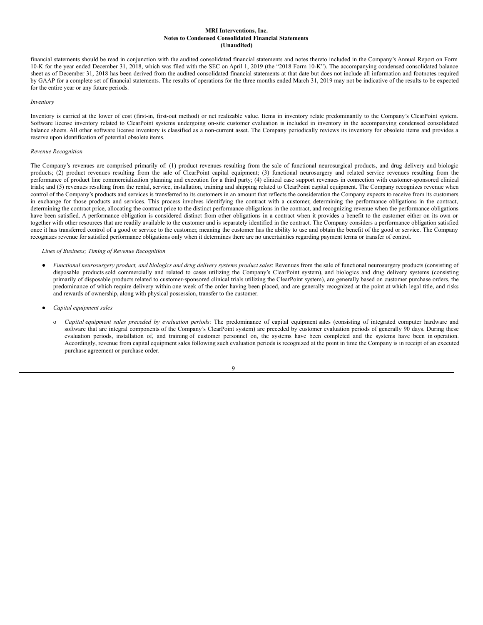financial statements should be read in conjunction with the audited consolidated financial statements and notes thereto included in the Company's Annual Report on Form 10-K for the year ended December 31, 2018, which was filed with the SEC on April 1, 2019 (the "2018 Form 10-K"). The accompanying condensed consolidated balance sheet as of December 31, 2018 has been derived from the audited consolidated financial statements at that date but does not include all information and footnotes required by GAAP for a complete set of financial statements. The results of operations for the three months ended March 31, 2019 may not be indicative of the results to be expected for the entire year or any future periods.

#### *Inventory*

Inventory is carried at the lower of cost (first-in, first-out method) or net realizable value. Items in inventory relate predominantly to the Company's ClearPoint system. Software license inventory related to ClearPoint systems undergoing on-site customer evaluation is included in inventory in the accompanying condensed consolidated balance sheets. All other software license inventory is classified as a non-current asset. The Company periodically reviews its inventory for obsolete items and provides a reserve upon identification of potential obsolete items.

#### *Revenue Recognition*

The Company's revenues are comprised primarily of: (1) product revenues resulting from the sale of functional neurosurgical products, and drug delivery and biologic products; (2) product revenues resulting from the sale of ClearPoint capital equipment; (3) functional neurosurgery and related service revenues resulting from the performance of product line commercialization planning and execution for a third party; (4) clinical case support revenues in connection with customer-sponsored clinical trials; and (5) revenues resulting from the rental, service, installation, training and shipping related to ClearPoint capital equipment. The Company recognizes revenue when control of the Company's products and services is transferred to its customers in an amount that reflects the consideration the Company expects to receive from its customers in exchange for those products and services. This process involves identifying the contract with a customer, determining the performance obligations in the contract, determining the contract price, allocating the contract price to the distinct performance obligations in the contract, and recognizing revenue when the performance obligations have been satisfied. A performance obligation is considered distinct from other obligations in a contract when it provides a benefit to the customer either on its own or together with other resources that are readily available to the customer and is separately identified in the contract. The Company considers a performance obligation satisfied once it has transferred control of a good or service to the customer, meaning the customer has the ability to use and obtain the benefit of the good or service. The Company recognizes revenue for satisfied performance obligations only when it determines there are no uncertainties regarding payment terms or transfer of control.

#### *Lines of Business; Timing of Revenue Recognition*

- Functional neurosurgery product, and biologics and drug delivery systems product sales: Revenues from the sale of functional neurosurgery products (consisting of disposable products sold commercially and related to cases utilizing the Company's ClearPoint system), and biologics and drug delivery systems (consisting primarily of disposable products related to customer-sponsored clinical trials utilizing the ClearPoint system), are generally based on customer purchase orders, the predominance of which require delivery within one week of the order having been placed, and are generally recognized at the point at which legal title, and risks and rewards of ownership, along with physical possession, transfer to the customer.
- *Capital equipment sales*
	- o *Capital equipment sales preceded by evaluation periods*: The predominance of capital equipment sales (consisting of integrated computer hardware and software that are integral components of the Company's ClearPoint system) are preceded by customer evaluation periods of generally 90 days. During these evaluation periods, installation of, and training of customer personnel on, the systems have been completed and the systems have been in operation. Accordingly, revenue from capital equipment sales following such evaluation periods is recognized at the point in time the Company is in receipt of an executed purchase agreement or purchase order.

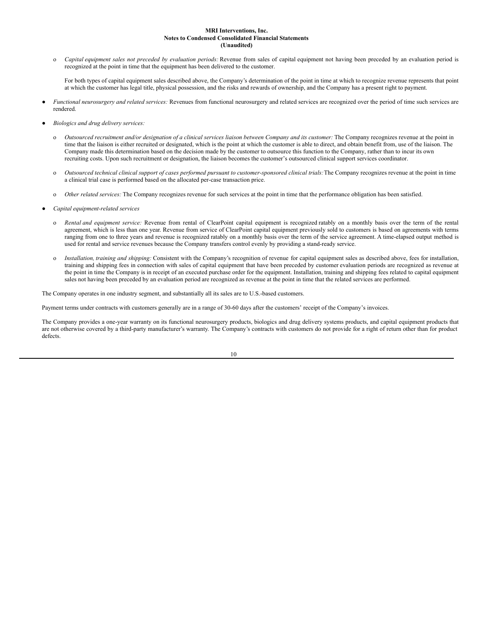o *Capital equipment sales not preceded by evaluation periods:* Revenue from sales of capital equipment not having been preceded by an evaluation period is recognized at the point in time that the equipment has been delivered to the customer.

For both types of capital equipment sales described above, the Company's determination of the point in time at which to recognize revenue represents that point at which the customer has legal title, physical possession, and the risks and rewards of ownership, and the Company has a present right to payment.

- *Functional neurosurgery and related services:* Revenues from functional neurosurgery and related services are recognized over the period of time such services are rendered.
- *Biologics and drug delivery services:*
	- o Outsourced recruitment and/or designation of a clinical services liaison between Company and its customer: The Company recognizes revenue at the point in time that the liaison is either recruited or designated, which is the point at which the customer is able to direct, and obtain benefit from, use of the liaison. The Company made this determination based on the decision made by the customer to outsource this function to the Company, rather than to incur its own recruiting costs. Upon such recruitment or designation, the liaison becomes the customer's outsourced clinical support services coordinator.
	- o Outsourced technical clinical support of cases performed pursuant to customer-sponsored clinical trials: The Company recognizes revenue at the point in time a clinical trial case is performed based on the allocated per-case transaction price.
	- o *Other related services:* The Company recognizes revenue for such services at the point in time that the performance obligation has been satisfied.
- *Capital equipment-related services*
	- o *Rental and equipment service:* Revenue from rental of ClearPoint capital equipment is recognized ratably on a monthly basis over the term of the rental agreement, which is less than one year. Revenue from service of ClearPoint capital equipment previously sold to customers is based on agreements with terms ranging from one to three years and revenue is recognized ratably on a monthly basis over the term of the service agreement. A time-elapsed output method is used for rental and service revenues because the Company transfers control evenly by providing a stand-ready service.
	- o *Installation, training and shipping:* Consistent with the Company's recognition of revenue for capital equipment sales as described above, fees for installation, training and shipping fees in connection with sales of capital equipment that have been preceded by customer evaluation periods are recognized as revenue at the point in time the Company is in receipt of an executed purchase order for the equipment. Installation, training and shipping fees related to capital equipment sales not having been preceded by an evaluation period are recognized as revenue at the point in time that the related services are performed.

The Company operates in one industry segment, and substantially all its sales are to U.S.-based customers.

Payment terms under contracts with customers generally are in a range of 30-60 days after the customers' receipt of the Company's invoices.

The Company provides a one-year warranty on its functional neurosurgery products, biologics and drug delivery systems products, and capital equipment products that are not otherwise covered by a third-party manufacturer's warranty. The Company's contracts with customers do not provide for a right of return other than for product defects.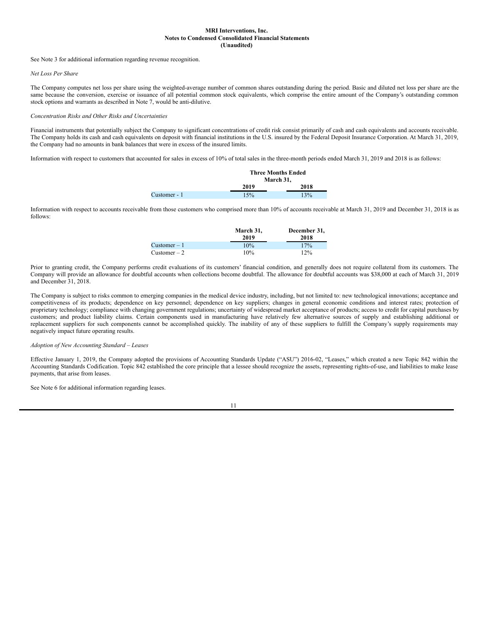See Note 3 for additional information regarding revenue recognition.

#### *Net Loss Per Share*

The Company computes net loss per share using the weighted-average number of common shares outstanding during the period. Basic and diluted net loss per share are the same because the conversion, exercise or issuance of all potential common stock equivalents, which comprise the entire amount of the Company's outstanding common stock options and warrants as described in Note 7, would be anti-dilutive.

# *Concentration Risks and Other Risks and Uncertainties*

Financial instruments that potentially subject the Company to significant concentrations of credit risk consist primarily of cash and cash equivalents and accounts receivable. The Company holds its cash and cash equivalents on deposit with financial institutions in the U.S. insured by the Federal Deposit Insurance Corporation. At March 31, 2019, the Company had no amounts in bank balances that were in excess of the insured limits.

Information with respect to customers that accounted for sales in excess of 10% of total sales in the three-month periods ended March 31, 2019 and 2018 is as follows:

|              |      | <b>Three Months Ended</b> |  |  |  |  |
|--------------|------|---------------------------|--|--|--|--|
|              |      | March 31.                 |  |  |  |  |
|              | 2019 | 2018                      |  |  |  |  |
| Customer - 1 | 15%  | 13%                       |  |  |  |  |

Information with respect to accounts receivable from those customers who comprised more than 10% of accounts receivable at March 31, 2019 and December 31, 2018 is as follows:

|                | March 31,<br>2019 | December 31,<br>2018 |
|----------------|-------------------|----------------------|
| $Customer - 1$ | 10%               | 17%                  |
| Customer $-2$  | 10%               | 12%                  |

Prior to granting credit, the Company performs credit evaluations of its customers' financial condition, and generally does not require collateral from its customers. The Company will provide an allowance for doubtful accounts when collections become doubtful. The allowance for doubtful accounts was \$38,000 at each of March 31, 2019 and December 31, 2018.

The Company is subject to risks common to emerging companies in the medical device industry, including, but not limited to: new technological innovations; acceptance and competitiveness of its products; dependence on key personnel; dependence on key suppliers; changes in general economic conditions and interest rates; protection of proprietary technology; compliance with changing government regulations; uncertainty of widespread market acceptance of products; access to credit for capital purchases by customers; and product liability claims. Certain components used in manufacturing have relatively few alternative sources of supply and establishing additional or replacement suppliers for such components cannot be accomplished quickly. The inability of any of these suppliers to fulfill the Company's supply requirements may negatively impact future operating results.

#### *Adoption of New Accounting Standard – Leases*

Effective January 1, 2019, the Company adopted the provisions of Accounting Standards Update ("ASU") 2016-02, "Leases," which created a new Topic 842 within the Accounting Standards Codification. Topic 842 established the core principle that a lessee should recognize the assets, representing rights-of-use, and liabilities to make lease payments, that arise from leases.

See Note 6 for additional information regarding leases.

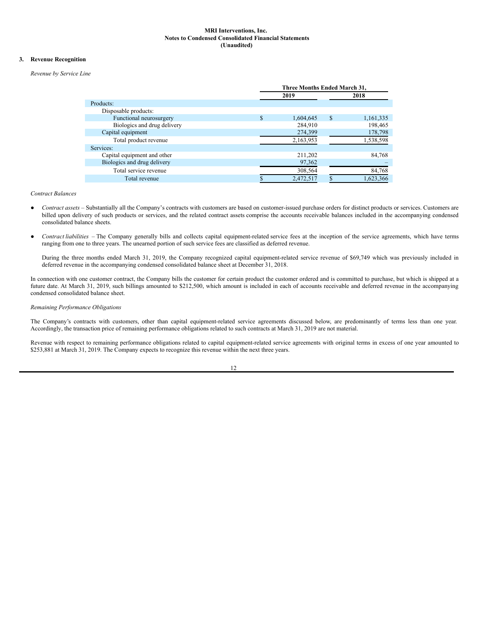# **3. Revenue Recognition**

*Revenue by Service Line*

|                             |   | Three Months Ended March 31, |   |           |  |
|-----------------------------|---|------------------------------|---|-----------|--|
|                             |   | 2019                         |   | 2018      |  |
| Products:                   |   |                              |   |           |  |
| Disposable products:        |   |                              |   |           |  |
| Functional neurosurgery     | S | 1.604.645                    | S | 1,161,335 |  |
| Biologics and drug delivery |   | 284,910                      |   | 198,465   |  |
| Capital equipment           |   | 274,399                      |   | 178,798   |  |
| Total product revenue       |   | 2,163,953                    |   | 1,538,598 |  |
| Services:                   |   |                              |   |           |  |
| Capital equipment and other |   | 211,202                      |   | 84.768    |  |
| Biologics and drug delivery |   | 97,362                       |   |           |  |
| Total service revenue       |   | 308,564                      |   | 84,768    |  |
| Total revenue               |   | 2,472,517                    |   | 1,623,366 |  |

*Contract Balances*

- *Contract assets* Substantially all the Company's contracts with customers are based on customer-issued purchase orders for distinct products or services. Customers are billed upon delivery of such products or services, and the related contract assets comprise the accounts receivable balances included in the accompanying condensed consolidated balance sheets.
- *Contract liabilities –* The Company generally bills and collects capital equipment-related service fees at the inception of the service agreements, which have terms ranging from one to three years. The unearned portion of such service fees are classified as deferred revenue.

During the three months ended March 31, 2019, the Company recognized capital equipment-related service revenue of \$69,749 which was previously included in deferred revenue in the accompanying condensed consolidated balance sheet at December 31, 2018.

In connection with one customer contract, the Company bills the customer for certain product the customer ordered and is committed to purchase, but which is shipped at a future date. At March 31, 2019, such billings amounted to \$212,500, which amount is included in each of accounts receivable and deferred revenue in the accompanying condensed consolidated balance sheet.

## *Remaining Performance Obligations*

The Company's contracts with customers, other than capital equipment-related service agreements discussed below, are predominantly of terms less than one year. Accordingly, the transaction price of remaining performance obligations related to such contracts at March 31, 2019 are not material.

Revenue with respect to remaining performance obligations related to capital equipment-related service agreements with original terms in excess of one year amounted to \$253,881 at March 31, 2019. The Company expects to recognize this revenue within the next three years.

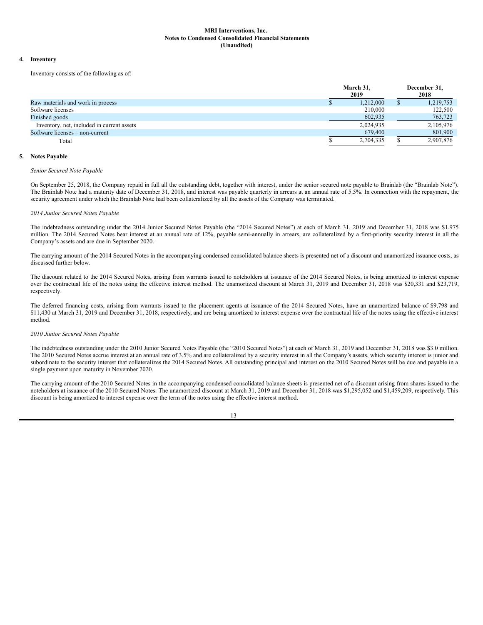### **4. Inventory**

Inventory consists of the following as of:

|                                            | March 31,<br>2019 | December 31,<br>2018 |
|--------------------------------------------|-------------------|----------------------|
| Raw materials and work in process          | 1.212.000         | 1,219,753            |
| Software licenses                          | 210,000           | 122,500              |
| Finished goods                             | 602.935           | 763,723              |
| Inventory, net, included in current assets | 2,024,935         | 2,105,976            |
| Software licenses – non-current            | 679,400           | 801,900              |
| Total                                      | 2,704,335         | 2,907,876            |

### **5. Notes Payable**

### *Senior Secured Note Payable*

On September 25, 2018, the Company repaid in full all the outstanding debt, together with interest, under the senior secured note payable to Brainlab (the "Brainlab Note"). The Brainlab Note had a maturity date of December 31, 2018, and interest was payable quarterly in arrears at an annual rate of 5.5%. In connection with the repayment, the security agreement under which the Brainlab Note had been collateralized by all the assets of the Company was terminated.

#### *2014 Junior Secured Notes Payable*

The indebtedness outstanding under the 2014 Junior Secured Notes Payable (the "2014 Secured Notes") at each of March 31, 2019 and December 31, 2018 was \$1.975 million. The 2014 Secured Notes bear interest at an annual rate of 12%, payable semi-annually in arrears, are collateralized by a first-priority security interest in all the Company's assets and are due in September 2020.

The carrying amount of the 2014 Secured Notes in the accompanying condensed consolidated balance sheets is presented net of a discount and unamortized issuance costs, as discussed further below.

The discount related to the 2014 Secured Notes, arising from warrants issued to noteholders at issuance of the 2014 Secured Notes, is being amortized to interest expense over the contractual life of the notes using the effective interest method. The unamortized discount at March 31, 2019 and December 31, 2018 was \$20,331 and \$23,719, respectively.

The deferred financing costs, arising from warrants issued to the placement agents at issuance of the 2014 Secured Notes, have an unamortized balance of \$9,798 and \$11,430 at March 31, 2019 and December 31, 2018, respectively, and are being amortized to interest expense over the contractual life of the notes using the effective interest method.

#### *2010 Junior Secured Notes Payable*

The indebtedness outstanding under the 2010 Junior Secured Notes Payable (the "2010 Secured Notes") at each of March 31, 2019 and December 31, 2018 was \$3.0 million. The 2010 Secured Notes accrue interest at an annual rate of 3.5% and are collateralized by a security interest in all the Company's assets, which security interest is junior and subordinate to the security interest that collateralizes the 2014 Secured Notes. All outstanding principal and interest on the 2010 Secured Notes will be due and payable in a single payment upon maturity in November 2020.

The carrying amount of the 2010 Secured Notes in the accompanying condensed consolidated balance sheets is presented net of a discount arising from shares issued to the noteholders at issuance of the 2010 Secured Notes. The unamortized discount at March 31, 2019 and December 31, 2018 was \$1,295,052 and \$1,459,209, respectively. This discount is being amortized to interest expense over the term of the notes using the effective interest method.

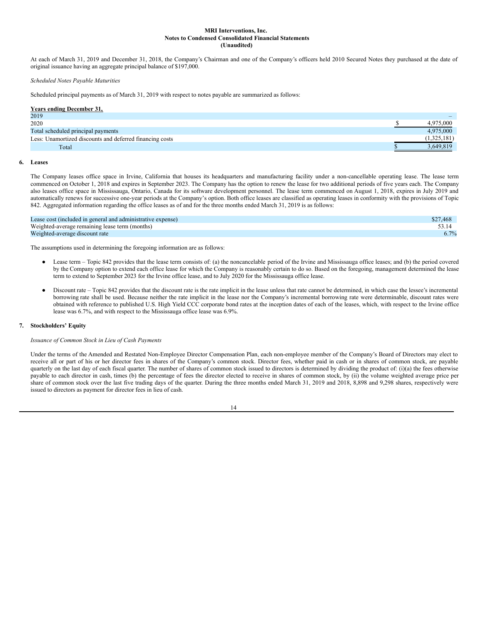At each of March 31, 2019 and December 31, 2018, the Company's Chairman and one of the Company's officers held 2010 Secured Notes they purchased at the date of original issuance having an aggregate principal balance of \$197,000.

# *Scheduled Notes Payable Maturities*

Scheduled principal payments as of March 31, 2019 with respect to notes payable are summarized as follows:

### **Years ending December 31,**

| 2019                                                     | $\overline{\phantom{a}}$ |
|----------------------------------------------------------|--------------------------|
| 2020                                                     | 4.975.000                |
| Total scheduled principal payments                       | 4.975,000                |
| Less: Unamortized discounts and deferred financing costs | 1,325,181                |
| Total                                                    | 3.649.819                |

#### **6. Leases**

The Company leases office space in Irvine, California that houses its headquarters and manufacturing facility under a non-cancellable operating lease. The lease term commenced on October 1, 2018 and expires in September 2023. The Company has the option to renew the lease for two additional periods of five years each. The Company also leases office space in Mississauga, Ontario, Canada for its software development personnel. The lease term commenced on August 1, 2018, expires in July 2019 and automatically renews for successive one-year periods at the Company's option. Both office leases are classified as operating leases in conformity with the provisions of Topic 842. Aggregated information regarding the office leases as of and for the three months ended March 31, 2019 is as follows:

| Lease cost (included in general and administrative expense) | \$27,468 |
|-------------------------------------------------------------|----------|
| Weighted-average remaining lease term (months)              |          |
| Weighted-average discount rate                              | 6.7%     |

The assumptions used in determining the foregoing information are as follows:

- Lease term Topic 842 provides that the lease term consists of: (a) the noncancelable period of the Irvine and Mississauga office leases; and (b) the period covered by the Company option to extend each office lease for which the Company is reasonably certain to do so. Based on the foregoing, management determined the lease term to extend to September 2023 for the Irvine office lease, and to July 2020 for the Mississauga office lease.
- Discount rate Topic 842 provides that the discount rate is the rate implicit in the lease unless that rate cannot be determined, in which case the lessee's incremental borrowing rate shall be used. Because neither the rate implicit in the lease nor the Company's incremental borrowing rate were determinable, discount rates were obtained with reference to published U.S. High Yield CCC corporate bond rates at the inception dates of each of the leases, which, with respect to the Irvine office lease was 6.7%, and with respect to the Mississauga office lease was 6.9%.

#### **7. Stockholders' Equity**

### *Issuance of Common Stock in Lieu of Cash Payments*

Under the terms of the Amended and Restated Non-Employee Director Compensation Plan, each non-employee member of the Company's Board of Directors may elect to receive all or part of his or her director fees in shares of the Company's common stock. Director fees, whether paid in cash or in shares of common stock, are payable quarterly on the last day of each fiscal quarter. The number of shares of common stock issued to directors is determined by dividing the product of: (i)(a) the fees otherwise payable to each director in cash, times (b) the percentage of fees the director elected to receive in shares of common stock, by (ii) the volume weighted average price per share of common stock over the last five trading days of the quarter. During the three months ended March 31, 2019 and 2018, 8,898 and 9,298 shares, respectively were issued to directors as payment for director fees in lieu of cash.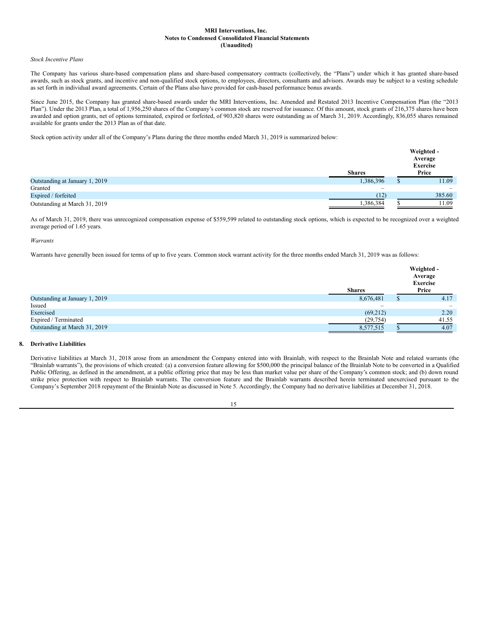#### *Stock Incentive Plans*

The Company has various share-based compensation plans and share-based compensatory contracts (collectively, the "Plans") under which it has granted share-based awards, such as stock grants, and incentive and non-qualified stock options, to employees, directors, consultants and advisors. Awards may be subject to a vesting schedule as set forth in individual award agreements. Certain of the Plans also have provided for cash-based performance bonus awards.

Since June 2015, the Company has granted share-based awards under the MRI Interventions, Inc. Amended and Restated 2013 Incentive Compensation Plan (the "2013 Plan"). Under the 2013 Plan, a total of 1,956,250 shares of the Company's common stock are reserved for issuance. Of this amount, stock grants of 216,375 shares have been awarded and option grants, net of options terminated, expired or forfeited, of 903,820 shares were outstanding as of March 31, 2019. Accordingly, 836,055 shares remained available for grants under the 2013 Plan as of that date.

Stock option activity under all of the Company's Plans during the three months ended March 31, 2019 is summarized below:

|                                | <b>Shares</b>     | Weighted -<br>Average<br><b>Exercise</b><br>Price |
|--------------------------------|-------------------|---------------------------------------------------|
| Outstanding at January 1, 2019 | 1,386,396         | 11.09                                             |
| Granted                        | $\hspace{0.05cm}$ | $\hspace{0.1mm}-\hspace{0.1mm}$                   |
| Expired / forfeited            | (12)              | 385.60                                            |
| Outstanding at March 31, 2019  | 1,386,384         | 11.09                                             |

As of March 31, 2019, there was unrecognized compensation expense of \$559,599 related to outstanding stock options, which is expected to be recognized over a weighted average period of 1.65 years.

#### *Warrants*

Warrants have generally been issued for terms of up to five years. Common stock warrant activity for the three months ended March 31, 2019 was as follows:

|                                | <b>Shares</b>            | Weighted -<br>Average<br><b>Exercise</b><br>Price |
|--------------------------------|--------------------------|---------------------------------------------------|
| Outstanding at January 1, 2019 | 8,676,481                | 4.17                                              |
| Issued                         | $\overline{\phantom{a}}$ | $\overline{\phantom{a}}$                          |
| Exercised                      | (69,212)                 | 2.20                                              |
| Expired / Terminated           | (29, 754)                | 41.55                                             |
| Outstanding at March 31, 2019  | 8,577,515                | 4.07                                              |

# **8. Derivative Liabilities**

Derivative liabilities at March 31, 2018 arose from an amendment the Company entered into with Brainlab, with respect to the Brainlab Note and related warrants (the "Brainlab warrants"), the provisions of which created: (a) a conversion feature allowing for \$500,000 the principal balance of the Brainlab Note to be converted in a Qualified Public Offering, as defined in the amendment, at a public offering price that may be less than market value per share of the Company's common stock; and (b) down round strike price protection with respect to Brainlab warrants. The conversion feature and the Brainlab warrants described herein terminated unexercised pursuant to the Company's September 2018 repayment of the Brainlab Note as discussed in Note 5. Accordingly, the Company had no derivative liabilities at December 31, 2018.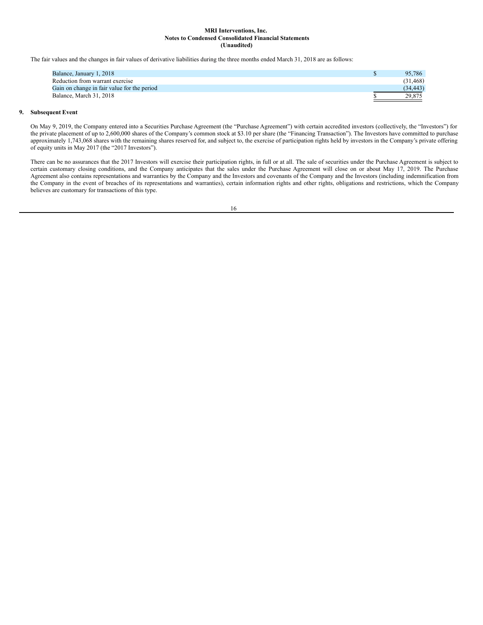The fair values and the changes in fair values of derivative liabilities during the three months ended March 31, 2018 are as follows:

| Balance, January 1, 2018                    | 95,786    |
|---------------------------------------------|-----------|
| Reduction from warrant exercise             | (31, 468) |
| Gain on change in fair value for the period | (34.443)  |
| Balance, March 31, 2018                     | 29,875    |

# **9. Subsequent Event**

On May 9, 2019, the Company entered into a Securities Purchase Agreement (the "Purchase Agreement") with certain accredited investors (collectively, the "Investors") for the private placement of up to 2,600,000 shares of the Company's common stock at \$3.10 per share (the "Financing Transaction"). The Investors have committed to purchase approximately 1,743,068 shares with the remaining shares reserved for, and subject to, the exercise of participation rights held by investors in the Company's private offering of equity units in May 2017 (the "2017 Investors").

There can be no assurances that the 2017 Investors will exercise their participation rights, in full or at all. The sale of securities under the Purchase Agreement is subject to certain customary closing conditions, and the Company anticipates that the sales under the Purchase Agreement will close on or about May 17, 2019. The Purchase Agreement also contains representations and warranties by the Company and the Investors and covenants of the Company and the Investors (including indemnification from the Company in the event of breaches of its representations and warranties), certain information rights and other rights, obligations and restrictions, which the Company believes are customary for transactions of this type.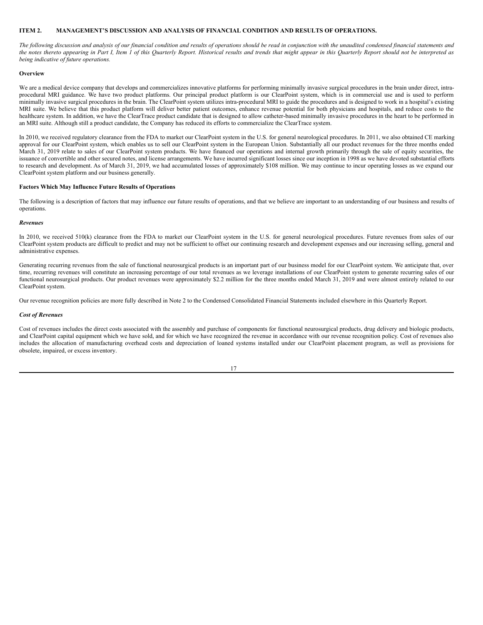# <span id="page-16-0"></span>**ITEM 2. MANAGEMENT'S DISCUSSION AND ANALYSIS OF FINANCIAL CONDITION AND RESULTS OF OPERATIONS.**

The following discussion and analysis of our financial condition and results of operations should be read in conjunction with the unaudited condensed financial statements and the notes thereto appearing in Part I, Item 1 of this Quarterly Report. Historical results and trends that might appear in this Quarterly Report should not be interpreted as *being indicative of future operations.*

#### **Overview**

We are a medical device company that develops and commercializes innovative platforms for performing minimally invasive surgical procedures in the brain under direct, intraprocedural MRI guidance. We have two product platforms. Our principal product platform is our ClearPoint system, which is in commercial use and is used to perform minimally invasive surgical procedures in the brain. The ClearPoint system utilizes intra-procedural MRI to guide the procedures and is designed to work in a hospital's existing MRI suite. We believe that this product platform will deliver better patient outcomes, enhance revenue potential for both physicians and hospitals, and reduce costs to the healthcare system. In addition, we have the ClearTrace product candidate that is designed to allow catheter-based minimally invasive procedures in the heart to be performed in an MRI suite. Although still a product candidate, the Company has reduced its efforts to commercialize the ClearTrace system.

In 2010, we received regulatory clearance from the FDA to market our ClearPoint system in the U.S. for general neurological procedures. In 2011, we also obtained CE marking approval for our ClearPoint system, which enables us to sell our ClearPoint system in the European Union. Substantially all our product revenues for the three months ended March 31, 2019 relate to sales of our ClearPoint system products. We have financed our operations and internal growth primarily through the sale of equity securities, the issuance of convertible and other secured notes, and license arrangements. We have incurred significant losses since our inception in 1998 as we have devoted substantial efforts to research and development. As of March 31, 2019, we had accumulated losses of approximately \$108 million. We may continue to incur operating losses as we expand our ClearPoint system platform and our business generally.

# **Factors Which May Influence Future Results of Operations**

The following is a description of factors that may influence our future results of operations, and that we believe are important to an understanding of our business and results of operations.

#### *Revenues*

In 2010, we received 510(k) clearance from the FDA to market our ClearPoint system in the U.S. for general neurological procedures. Future revenues from sales of our ClearPoint system products are difficult to predict and may not be sufficient to offset our continuing research and development expenses and our increasing selling, general and administrative expenses.

Generating recurring revenues from the sale of functional neurosurgical products is an important part of our business model for our ClearPoint system. We anticipate that, over time, recurring revenues will constitute an increasing percentage of our total revenues as we leverage installations of our ClearPoint system to generate recurring sales of our functional neurosurgical products. Our product revenues were approximately \$2.2 million for the three months ended March 31, 2019 and were almost entirely related to our ClearPoint system.

Our revenue recognition policies are more fully described in Note 2 to the Condensed Consolidated Financial Statements included elsewhere in this Quarterly Report.

#### *Cost of Revenues*

Cost of revenues includes the direct costs associated with the assembly and purchase of components for functional neurosurgical products, drug delivery and biologic products, and ClearPoint capital equipment which we have sold, and for which we have recognized the revenue in accordance with our revenue recognition policy. Cost of revenues also includes the allocation of manufacturing overhead costs and depreciation of loaned systems installed under our ClearPoint placement program, as well as provisions for obsolete, impaired, or excess inventory.

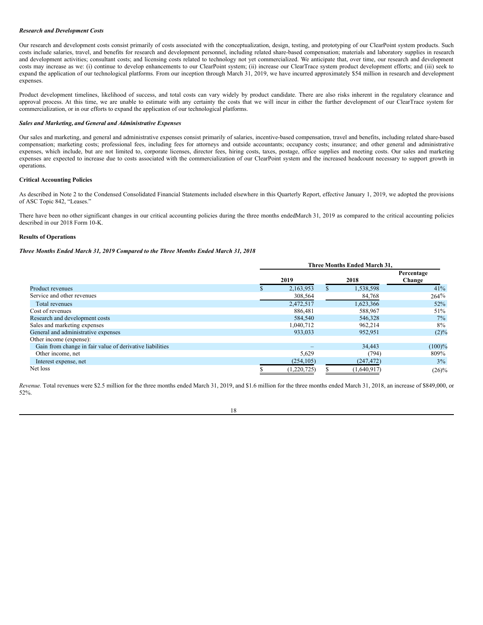# *Research and Development Costs*

Our research and development costs consist primarily of costs associated with the conceptualization, design, testing, and prototyping of our ClearPoint system products. Such costs include salaries, travel, and benefits for research and development personnel, including related share-based compensation; materials and laboratory supplies in research and development activities; consultant costs; and licensing costs related to technology not yet commercialized. We anticipate that, over time, our research and development costs may increase as we: (i) continue to develop enhancements to our ClearPoint system; (ii) increase our ClearTrace system product development efforts; and (iii) seek to expand the application of our technological platforms. From our inception through March 31, 2019, we have incurred approximately \$54 million in research and development expenses.

Product development timelines, likelihood of success, and total costs can vary widely by product candidate. There are also risks inherent in the regulatory clearance and approval process. At this time, we are unable to estimate with any certainty the costs that we will incur in either the further development of our ClearTrace system for commercialization, or in our efforts to expand the application of our technological platforms.

# *Sales and Marketing, and General and Administrative Expenses*

Our sales and marketing, and general and administrative expenses consist primarily of salaries, incentive-based compensation, travel and benefits, including related share-based compensation; marketing costs; professional fees, including fees for attorneys and outside accountants; occupancy costs; insurance; and other general and administrative expenses, which include, but are not limited to, corporate licenses, director fees, hiring costs, taxes, postage, office supplies and meeting costs. Our sales and marketing expenses are expected to increase due to costs associated with the commercialization of our ClearPoint system and the increased headcount necessary to support growth in operations.

#### **Critical Accounting Policies**

As described in Note 2 to the Condensed Consolidated Financial Statements included elsewhere in this Quarterly Report, effective January 1, 2019, we adopted the provisions of ASC Topic 842, "Leases."

There have been no other significant changes in our critical accounting policies during the three months endedMarch 31, 2019 as compared to the critical accounting policies described in our 2018 Form 10-K.

#### **Results of Operations**

# *Three Months Ended March 31, 2019 Compared to the Three Months Ended March 31, 2018*

|                                                          |  | Three Months Ended March 31, |  |             |                      |
|----------------------------------------------------------|--|------------------------------|--|-------------|----------------------|
|                                                          |  | 2019                         |  | 2018        | Percentage<br>Change |
| Product revenues                                         |  | 2,163,953                    |  | 1,538,598   | 41%                  |
| Service and other revenues                               |  | 308,564                      |  | 84,768      | 264%                 |
| Total revenues                                           |  | 2,472,517                    |  | 1,623,366   | 52%                  |
| Cost of revenues                                         |  | 886.481                      |  | 588,967     | 51%                  |
| Research and development costs                           |  | 584,540                      |  | 546,328     | $7\%$                |
| Sales and marketing expenses                             |  | 1.040.712                    |  | 962,214     | $8\%$                |
| General and administrative expenses                      |  | 933,033                      |  | 952,951     | $(2)\%$              |
| Other income (expense):                                  |  |                              |  |             |                      |
| Gain from change in fair value of derivative liabilities |  |                              |  | 34,443      | $(100)\%$            |
| Other income, net                                        |  | 5,629                        |  | (794)       | 809%                 |
| Interest expense, net                                    |  | (254, 105)                   |  | (247, 472)  | $3\%$                |
| Net loss                                                 |  | (1,220,725)                  |  | (1,640,917) | $(26)\%$             |

*Revenue.* Total revenues were \$2.5 million for the three months ended March 31, 2019, and \$1.6 million for the three months ended March 31, 2018, an increase of \$849,000, or 52%.

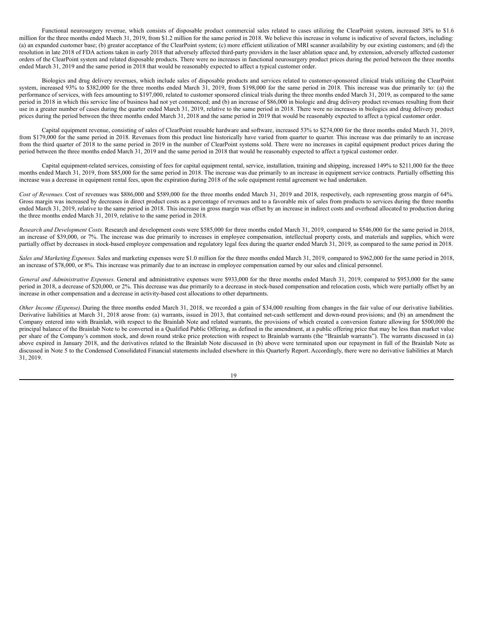Functional neurosurgery revenue, which consists of disposable product commercial sales related to cases utilizing the ClearPoint system, increased 38% to \$1.6 million for the three months ended March 31, 2019, from \$1.2 million for the same period in 2018. We believe this increase in volume is indicative of several factors, including: (a) an expanded customer base; (b) greater acceptance of the ClearPoint system; (c) more efficient utilization of MRI scanner availability by our existing customers; and (d) the resolution in late 2018 of FDA actions taken in early 2018 that adversely affected third-party providers in the laser ablation space and, by extension, adversely affected customer orders of the ClearPoint system and related disposable products. There were no increases in functional neurosurgery product prices during the period between the three months ended March 31, 2019 and the same period in 2018 that would be reasonably expected to affect a typical customer order.

Biologics and drug delivery revenues, which include sales of disposable products and services related to customer-sponsored clinical trials utilizing the ClearPoint system, increased 93% to \$382,000 for the three months ended March 31, 2019, from \$198,000 for the same period in 2018. This increase was due primarily to: (a) the performance of services, with fees amounting to \$197,000, related to customer sponsored clinical trials during the three months ended March 31, 2019, as compared to the same period in 2018 in which this service line of business had not yet commenced; and (b) an increase of \$86,000 in biologic and drug delivery product revenues resulting from their use in a greater number of cases during the quarter ended March 31, 2019, relative to the same period in 2018. There were no increases in biologics and drug delivery product prices during the period between the three months ended March 31, 2018 and the same period in 2019 that would be reasonably expected to affect a typical customer order.

Capital equipment revenue, consisting of sales of ClearPoint reusable hardware and software, increased 53% to \$274,000 for the three months ended March 31, 2019, from \$179,000 for the same period in 2018. Revenues from this product line historically have varied from quarter to quarter. This increase was due primarily to an increase from the third quarter of 2018 to the same period in 2019 in the number of ClearPoint systems sold. There were no increases in capital equipment product prices during the period between the three months ended March 31, 2019 and the same period in 2018 that would be reasonably expected to affect a typical customer order.

Capital equipment-related services, consisting of fees for capital equipment rental, service, installation, training and shipping, increased 149% to \$211,000 for the three months ended March 31, 2019, from \$85,000 for the same period in 2018. The increase was due primarily to an increase in equipment service contracts. Partially offsetting this increase was a decrease in equipment rental fees, upon the expiration during 2018 of the sole equipment rental agreement we had undertaken.

*Cost of Revenues.* Cost of revenues was \$886,000 and \$589,000 for the three months ended March 31, 2019 and 2018, respectively, each representing gross margin of 64%. Gross margin was increased by decreases in direct product costs as a percentage of revenues and to a favorable mix of sales from products to services during the three months ended March 31, 2019, relative to the same period in 2018. This increase in gross margin was offset by an increase in indirect costs and overhead allocated to production during the three months ended March 31, 2019, relative to the same period in 2018.

*Research and Development Costs.* Research and development costs were \$585,000 for three months ended March 31, 2019, compared to \$546,000 for the same period in 2018, an increase of \$39,000, or 7%. The increase was due primarily to increases in employee compensation, intellectual property costs, and materials and supplies, which were partially offset by decreases in stock-based employee compensation and regulatory legal fees during the quarter ended March 31, 2019, as compared to the same period in 2018.

*Sales and Marketing Expenses.* Sales and marketing expenses were \$1.0 million for the three months ended March 31, 2019, compared to \$962,000 for the same period in 2018, an increase of \$78,000, or 8%. This increase was primarily due to an increase in employee compensation earned by our sales and clinical personnel.

*General and Administrative Expenses*. General and administrative expenses were \$933,000 for the three months ended March 31, 2019, compared to \$953,000 for the same period in 2018, a decrease of \$20,000, or 2%. This decrease was due primarily to a decrease in stock-based compensation and relocation costs, which were partially offset by an increase in other compensation and a decrease in activity-based cost allocations to other departments.

*Other Income (Expense).*During the three months ended March 31, 2018, we recorded a gain of \$34,000 resulting from changes in the fair value of our derivative liabilities. Derivative liabilities at March 31, 2018 arose from: (a) warrants, issued in 2013, that contained net-cash settlement and down-round provisions; and (b) an amendment the Company entered into with Brainlab, with respect to the Brainlab Note and related warrants, the provisions of which created a conversion feature allowing for \$500,000 the principal balance of the Brainlab Note to be converted in a Qualified Public Offering, as defined in the amendment, at a public offering price that may be less than market value per share of the Company's common stock, and down round strike price protection with respect to Brainlab warrants (the "Brainlab warrants"). The warrants discussed in (a) above expired in January 2018, and the derivatives related to the Brainlab Note discussed in (b) above were terminated upon our repayment in full of the Brainlab Note as discussed in Note 5 to the Condensed Consolidated Financial statements included elsewhere in this Quarterly Report. Accordingly, there were no derivative liabilities at March 31, 2019.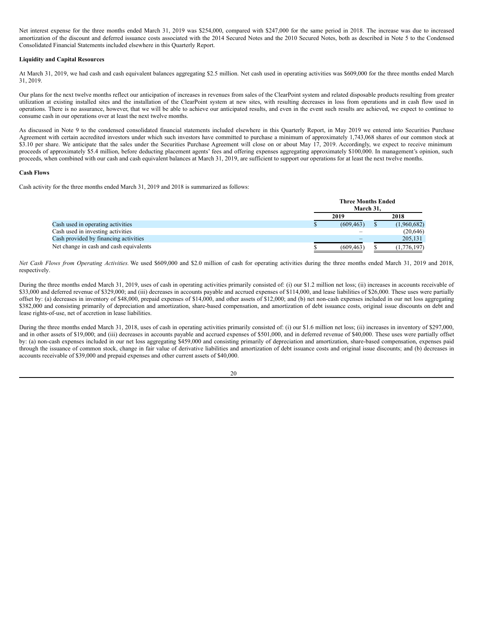Net interest expense for the three months ended March 31, 2019 was \$254,000, compared with \$247,000 for the same period in 2018. The increase was due to increased amortization of the discount and deferred issuance costs associated with the 2014 Secured Notes and the 2010 Secured Notes, both as described in Note 5 to the Condensed Consolidated Financial Statements included elsewhere in this Quarterly Report.

# **Liquidity and Capital Resources**

At March 31, 2019, we had cash and cash equivalent balances aggregating \$2.5 million. Net cash used in operating activities was \$609,000 for the three months ended March 31, 2019.

Our plans for the next twelve months reflect our anticipation of increases in revenues from sales of the ClearPoint system and related disposable products resulting from greater utilization at existing installed sites and the installation of the ClearPoint system at new sites, with resulting decreases in loss from operations and in cash flow used in operations. There is no assurance, however, that we will be able to achieve our anticipated results, and even in the event such results are achieved, we expect to continue to consume cash in our operations over at least the next twelve months.

As discussed in Note 9 to the condensed consolidated financial statements included elsewhere in this Quarterly Report, in May 2019 we entered into Securities Purchase Agreement with certain accredited investors under which such investors have committed to purchase a minimum of approximately 1,743,068 shares of our common stock at \$3.10 per share. We anticipate that the sales under the Securities Purchase Agreement will close on or about May 17, 2019. Accordingly, we expect to receive minimum proceeds of approximately \$5.4 million, before deducting placement agents' fees and offering expenses aggregating approximately \$100,000. In management's opinion, such proceeds, when combined with our cash and cash equivalent balances at March 31, 2019, are sufficient to support our operations for at least the next twelve months.

### **Cash Flows**

Cash activity for the three months ended March 31, 2019 and 2018 is summarized as follows:

|                                         |   | <b>Three Months Ended</b><br>March 31. |  |             |
|-----------------------------------------|---|----------------------------------------|--|-------------|
|                                         |   | 2019                                   |  | 2018        |
| Cash used in operating activities       | æ | (609, 463)                             |  | (1,960,682) |
| Cash used in investing activities       |   |                                        |  | (20, 646)   |
| Cash provided by financing activities   |   |                                        |  | 205,131     |
| Net change in cash and cash equivalents |   | (609.463)                              |  | (1,776,197) |

*Net Cash Flows from Operating Activities.* We used \$609,000 and \$2.0 million of cash for operating activities during the three months ended March 31, 2019 and 2018, respectively.

During the three months ended March 31, 2019, uses of cash in operating activities primarily consisted of: (i) our \$1.2 million net loss; (ii) increases in accounts receivable of \$33,000 and deferred revenue of \$329,000; and (iii) decreases in accounts payable and accrued expenses of \$114,000, and lease liabilities of \$26,000. These uses were partially offset by: (a) decreases in inventory of \$48,000, prepaid expenses of \$14,000, and other assets of \$12,000; and (b) net non-cash expenses included in our net loss aggregating \$382,000 and consisting primarily of depreciation and amortization, share-based compensation, and amortization of debt issuance costs, original issue discounts on debt and lease rights-of-use, net of accretion in lease liabilities.

During the three months ended March 31, 2018, uses of cash in operating activities primarily consisted of: (i) our \$1.6 million net loss; (ii) increases in inventory of \$297,000, and in other assets of \$19,000; and (iii) decreases in accounts payable and accrued expenses of \$501,000, and in deferred revenue of \$40,000. These uses were partially offset by: (a) non-cash expenses included in our net loss aggregating \$459,000 and consisting primarily of depreciation and amortization, share-based compensation, expenses paid through the issuance of common stock, change in fair value of derivative liabilities and amortization of debt issuance costs and original issue discounts; and (b) decreases in accounts receivable of \$39,000 and prepaid expenses and other current assets of \$40,000.

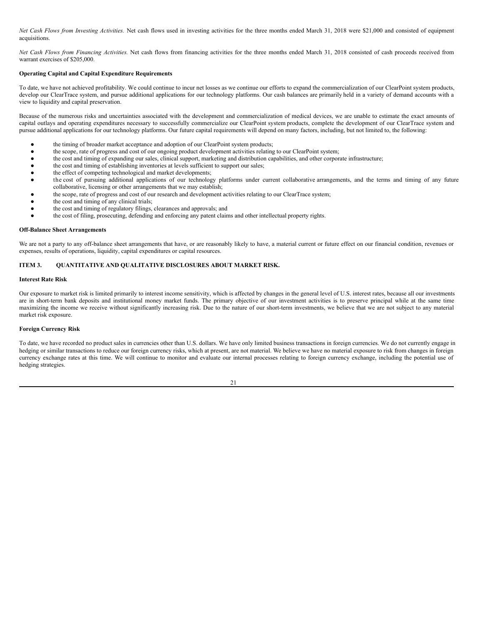*Net Cash Flows from Investing Activities.* Net cash flows used in investing activities for the three months ended March 31, 2018 were \$21,000 and consisted of equipment acquisitions.

*Net Cash Flows from Financing Activities.* Net cash flows from financing activities for the three months ended March 31, 2018 consisted of cash proceeds received from warrant exercises of \$205,000.

# **Operating Capital and Capital Expenditure Requirements**

To date, we have not achieved profitability. We could continue to incur net losses as we continue our efforts to expand the commercialization of our ClearPoint system products, develop our ClearTrace system, and pursue additional applications for our technology platforms. Our cash balances are primarily held in a variety of demand accounts with a view to liquidity and capital preservation.

Because of the numerous risks and uncertainties associated with the development and commercialization of medical devices, we are unable to estimate the exact amounts of capital outlays and operating expenditures necessary to successfully commercialize our ClearPoint system products, complete the development of our ClearTrace system and pursue additional applications for our technology platforms. Our future capital requirements will depend on many factors, including, but not limited to, the following:

- the timing of broader market acceptance and adoption of our ClearPoint system products;
- the scope, rate of progress and cost of our ongoing product development activities relating to our ClearPoint system;
- the cost and timing of expanding our sales, clinical support, marketing and distribution capabilities, and other corporate infrastructure;
- the cost and timing of establishing inventories at levels sufficient to support our sales;
- the effect of competing technological and market developments;
- the cost of pursuing additional applications of our technology platforms under current collaborative arrangements, and the terms and timing of any future collaborative, licensing or other arrangements that we may establish;
- the scope, rate of progress and cost of our research and development activities relating to our ClearTrace system;
- the cost and timing of any clinical trials;
- the cost and timing of regulatory filings, clearances and approvals; and
- the cost of filing, prosecuting, defending and enforcing any patent claims and other intellectual property rights.

### **Off-Balance Sheet Arrangements**

We are not a party to any off-balance sheet arrangements that have, or are reasonably likely to have, a material current or future effect on our financial condition, revenues or expenses, results of operations, liquidity, capital expenditures or capital resources.

# <span id="page-20-0"></span>**ITEM 3. QUANTITATIVE AND QUALITATIVE DISCLOSURES ABOUT MARKET RISK.**

### **Interest Rate Risk**

Our exposure to market risk is limited primarily to interest income sensitivity, which is affected by changes in the general level of U.S. interest rates, because all our investments are in short-term bank deposits and institutional money market funds. The primary objective of our investment activities is to preserve principal while at the same time maximizing the income we receive without significantly increasing risk. Due to the nature of our short-term investments, we believe that we are not subject to any material market risk exposure.

# **Foreign Currency Risk**

To date, we have recorded no product sales in currencies other than U.S. dollars. We have only limited business transactions in foreign currencies. We do not currently engage in hedging or similar transactions to reduce our foreign currency risks, which at present, are not material. We believe we have no material exposure to risk from changes in foreign currency exchange rates at this time. We will continue to monitor and evaluate our internal processes relating to foreign currency exchange, including the potential use of hedging strategies.

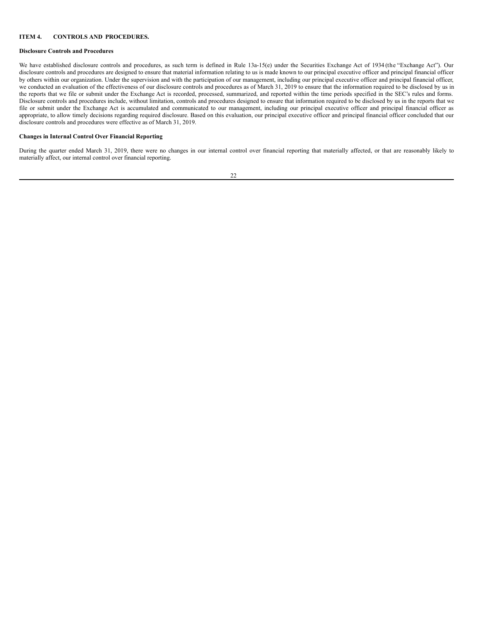#### <span id="page-21-0"></span>**ITEM 4. CONTROLS AND PROCEDURES.**

### **Disclosure Controls and Procedures**

We have established disclosure controls and procedures, as such term is defined in Rule 13a-15(e) under the Securities Exchange Act of 1934 (the "Exchange Act"). Our disclosure controls and procedures are designed to ensure that material information relating to us is made known to our principal executive officer and principal financial officer by others within our organization. Under the supervision and with the participation of our management, including our principal executive officer and principal financial officer, we conducted an evaluation of the effectiveness of our disclosure controls and procedures as of March 31, 2019 to ensure that the information required to be disclosed by us in the reports that we file or submit under the Exchange Act is recorded, processed, summarized, and reported within the time periods specified in the SEC's rules and forms. Disclosure controls and procedures include, without limitation, controls and procedures designed to ensure that information required to be disclosed by us in the reports that we file or submit under the Exchange Act is accumulated and communicated to our management, including our principal executive officer and principal financial officer as appropriate, to allow timely decisions regarding required disclosure. Based on this evaluation, our principal executive officer and principal financial officer concluded that our disclosure controls and procedures were effective as of March 31, 2019.

## **Changes in Internal Control Over Financial Reporting**

During the quarter ended March 31, 2019, there were no changes in our internal control over financial reporting that materially affected, or that are reasonably likely to materially affect, our internal control over financial reporting.

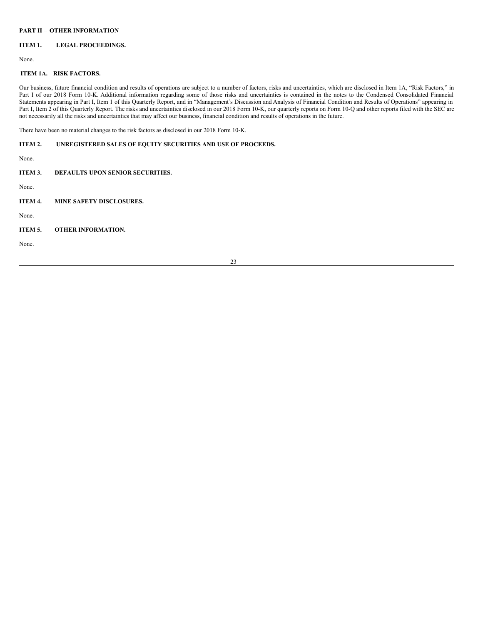# <span id="page-22-0"></span>**PART II – OTHER INFORMATION**

### <span id="page-22-1"></span>**ITEM 1. LEGAL PROCEEDINGS.**

None.

# <span id="page-22-2"></span>**ITEM 1A. RISK FACTORS.**

Our business, future financial condition and results of operations are subject to a number of factors, risks and uncertainties, which are disclosed in Item 1A, "Risk Factors," in Part I of our 2018 Form 10-K. Additional information regarding some of those risks and uncertainties is contained in the notes to the Condensed Consolidated Financial Statements appearing in Part I, Item 1 of this Quarterly Report, and in "Management's Discussion and Analysis of Financial Condition and Results of Operations" appearing in Part I, Item 2 of this Quarterly Report. The risks and uncertainties disclosed in our 2018 Form 10-K, our quarterly reports on Form 10-Q and other reports filed with the SEC are not necessarily all the risks and uncertainties that may affect our business, financial condition and results of operations in the future.

There have been no material changes to the risk factors as disclosed in our 2018 Form 10-K.

# <span id="page-22-3"></span>**ITEM 2. UNREGISTERED SALES OF EQUITY SECURITIES AND USE OF PROCEEDS.**

None.

<span id="page-22-5"></span><span id="page-22-4"></span>

|       | ITEM 5. OTHER INFORMATION.               |
|-------|------------------------------------------|
| None. |                                          |
|       | ITEM 4. MINE SAFETY DISCLOSURES.         |
| None. |                                          |
|       | ITEM 3. DEFAULTS UPON SENIOR SECURITIES. |

<span id="page-22-6"></span>None.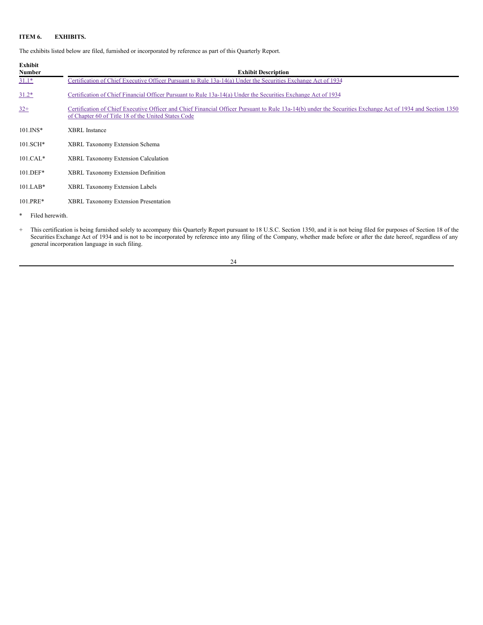# <span id="page-23-0"></span>**ITEM 6. EXHIBITS.**

The exhibits listed below are filed, furnished or incorporated by reference as part of this Quarterly Report.

| Exhibit<br>Number         | <b>Exhibit Description</b>                                                                                                                                                                                        |
|---------------------------|-------------------------------------------------------------------------------------------------------------------------------------------------------------------------------------------------------------------|
| $31.1*$                   | Certification of Chief Executive Officer Pursuant to Rule 13a-14(a) Under the Securities Exchange Act of 1934                                                                                                     |
| $31.2*$                   | Certification of Chief Financial Officer Pursuant to Rule 13a-14(a) Under the Securities Exchange Act of 1934                                                                                                     |
| $32+$                     | Certification of Chief Executive Officer and Chief Financial Officer Pursuant to Rule 13a-14(b) under the Securities Exchange Act of 1934 and Section 1350<br>of Chapter 60 of Title 18 of the United States Code |
| $101$ . INS*              | <b>XBRL</b> Instance                                                                                                                                                                                              |
| $101.SCH*$                | <b>XBRL Taxonomy Extension Schema</b>                                                                                                                                                                             |
| $101.CAL*$                | <b>XBRL Taxonomy Extension Calculation</b>                                                                                                                                                                        |
| $101.DEF*$                | XBRL Taxonomy Extension Definition                                                                                                                                                                                |
| $101.LAB*$                | XBRL Taxonomy Extension Labels                                                                                                                                                                                    |
| 101.PRE*                  | <b>XBRL Taxonomy Extension Presentation</b>                                                                                                                                                                       |
| $\ast$<br>Filed herewith. |                                                                                                                                                                                                                   |

+ This certification is being furnished solely to accompany this Quarterly Report pursuant to 18 U.S.C. Section 1350, and it is not being filed for purposes of Section 18 of the Securities Exchange Act of 1934 and is not to be incorporated by reference into any filing of the Company, whether made before or after the date hereof, regardless of any general incorporation language in such filing.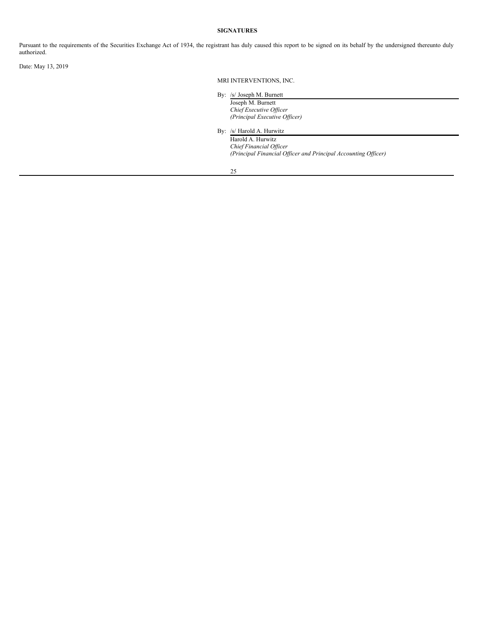# <span id="page-24-0"></span>**SIGNATURES**

Pursuant to the requirements of the Securities Exchange Act of 1934, the registrant has duly caused this report to be signed on its behalf by the undersigned thereunto duly authorized.

Date: May 13, 2019

MRI INTERVENTIONS, INC.

*Chief Financial Of icer*

| By: /s/ Joseph M. Burnett     |
|-------------------------------|
| Joseph M. Burnett             |
| Chief Executive Officer       |
| (Principal Executive Officer) |
|                               |
| By: /s/ Harold A. Hurwitz     |
| Harold A. Hurwitz             |

*(Principal Financial Of icer and Principal Accounting Of icer)*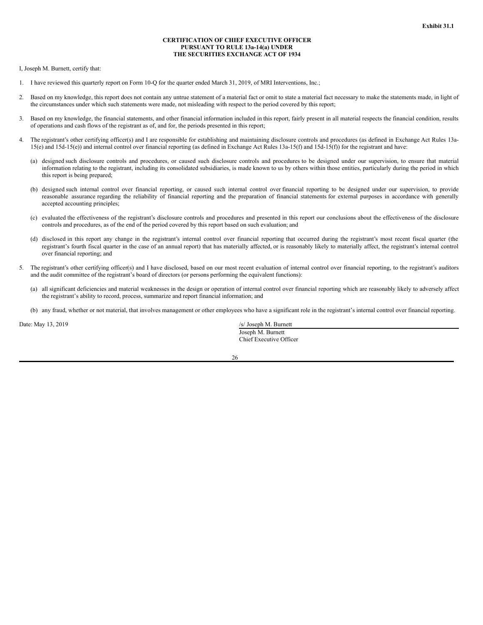### **CERTIFICATION OF CHIEF EXECUTIVE OFFICER PURSUANT TO RULE 13a-14(a) UNDER THE SECURITIES EXCHANGE ACT OF 1934**

<span id="page-25-0"></span>I, Joseph M. Burnett, certify that:

- 1. I have reviewed this quarterly report on Form 10-Q for the quarter ended March 31, 2019, of MRI Interventions, Inc.;
- 2. Based on my knowledge, this report does not contain any untrue statement of a material fact or omit to state a material fact necessary to make the statements made, in light of the circumstances under which such statements were made, not misleading with respect to the period covered by this report;
- 3. Based on my knowledge, the financial statements, and other financial information included in this report, fairly present in all material respects the financial condition, results of operations and cash flows of the registrant as of, and for, the periods presented in this report;
- 4. The registrant's other certifying officer(s) and I are responsible for establishing and maintaining disclosure controls and procedures (as defined in Exchange Act Rules 13a-15(e) and 15d-15(e)) and internal control over financial reporting (as defined in Exchange Act Rules 13a-15(f) and 15d-15(f)) for the registrant and have:
	- (a) designed such disclosure controls and procedures, or caused such disclosure controls and procedures to be designed under our supervision, to ensure that material information relating to the registrant, including its consolidated subsidiaries, is made known to us by others within those entities, particularly during the period in which this report is being prepared;
	- (b) designed such internal control over financial reporting, or caused such internal control over financial reporting to be designed under our supervision, to provide reasonable assurance regarding the reliability of financial reporting and the preparation of financial statements for external purposes in accordance with generally accepted accounting principles;
	- (c) evaluated the effectiveness of the registrant's disclosure controls and procedures and presented in this report our conclusions about the effectiveness of the disclosure controls and procedures, as of the end of the period covered by this report based on such evaluation; and
	- (d) disclosed in this report any change in the registrant's internal control over financial reporting that occurred during the registrant's most recent fiscal quarter (the registrant's fourth fiscal quarter in the case of an annual report) that has materially affected, or is reasonably likely to materially affect, the registrant's internal control over financial reporting; and
- 5. The registrant's other certifying officer(s) and I have disclosed, based on our most recent evaluation of internal control over financial reporting, to the registrant's auditors and the audit committee of the registrant's board of directors (or persons performing the equivalent functions):
	- (a) all significant deficiencies and material weaknesses in the design or operation of internal control over financial reporting which are reasonably likely to adversely affect the registrant's ability to record, process, summarize and report financial information; and
	- (b) any fraud, whether or not material, that involves management or other employees who have a significant role in the registrant's internal control over financial reporting.

Date: May 13, 2019 /s/ Joseph M. Burnett Joseph M. Burnett Chief Executive Officer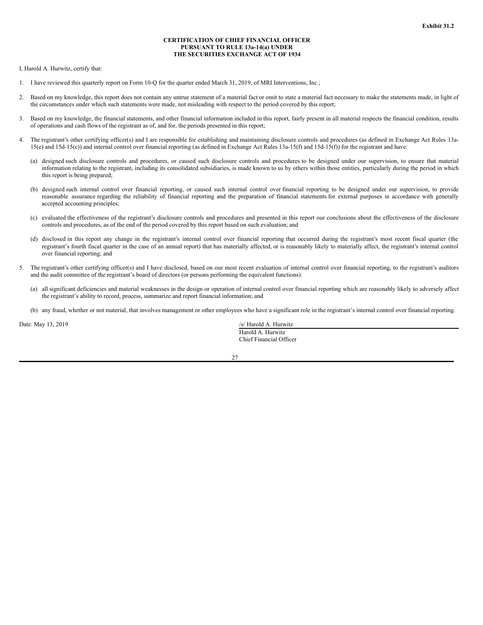### **CERTIFICATION OF CHIEF FINANCIAL OFFICER PURSUANT TO RULE 13a-14(a) UNDER THE SECURITIES EXCHANGE ACT OF 1934**

<span id="page-26-0"></span>I, Harold A. Hurwitz, certify that:

- 1. I have reviewed this quarterly report on Form 10-Q for the quarter ended March 31, 2019, of MRI Interventions, Inc.;
- 2. Based on my knowledge, this report does not contain any untrue statement of a material fact or omit to state a material fact necessary to make the statements made, in light of the circumstances under which such statements were made, not misleading with respect to the period covered by this report;
- 3. Based on my knowledge, the financial statements, and other financial information included in this report, fairly present in all material respects the financial condition, results of operations and cash flows of the registrant as of, and for, the periods presented in this report;
- 4. The registrant's other certifying officer(s) and I are responsible for establishing and maintaining disclosure controls and procedures (as defined in Exchange Act Rules 13a-15(e) and 15d-15(e)) and internal control over financial reporting (as defined in Exchange Act Rules 13a-15(f) and 15d-15(f)) for the registrant and have:
	- (a) designed such disclosure controls and procedures, or caused such disclosure controls and procedures to be designed under our supervision, to ensure that material information relating to the registrant, including its consolidated subsidiaries, is made known to us by others within those entities, particularly during the period in which this report is being prepared;
	- (b) designed such internal control over financial reporting, or caused such internal control over financial reporting to be designed under our supervision, to provide reasonable assurance regarding the reliability of financial reporting and the preparation of financial statements for external purposes in accordance with generally accepted accounting principles;
	- (c) evaluated the effectiveness of the registrant's disclosure controls and procedures and presented in this report our conclusions about the effectiveness of the disclosure controls and procedures, as of the end of the period covered by this report based on such evaluation; and
	- (d) disclosed in this report any change in the registrant's internal control over financial reporting that occurred during the registrant's most recent fiscal quarter (the registrant's fourth fiscal quarter in the case of an annual report) that has materially affected, or is reasonably likely to materially affect, the registrant's internal control over financial reporting; and
- 5. The registrant's other certifying officer(s) and I have disclosed, based on our most recent evaluation of internal control over financial reporting, to the registrant's auditors and the audit committee of the registrant's board of directors (or persons performing the equivalent functions):
	- (a) all significant deficiencies and material weaknesses in the design or operation of internal control over financial reporting which are reasonably likely to adversely affect the registrant's ability to record, process, summarize and report financial information; and
	- (b) any fraud, whether or not material, that involves management or other employees who have a significant role in the registrant's internal control over financial reporting.

Date: May 13, 2019 /s/ Harold A. Hurwitz Harold A. Hurwitz Chief Financial Officer